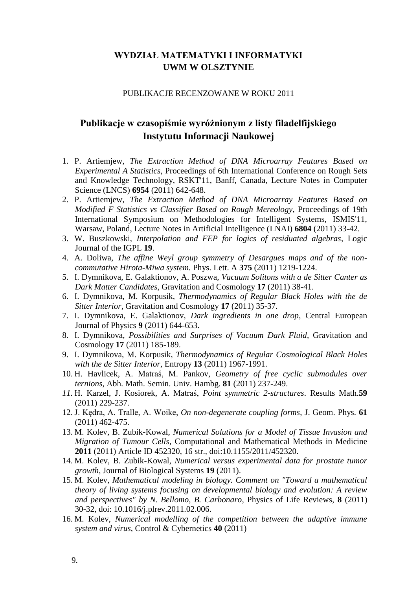### **WYDZIAŁ MATEMATYKI I INFORMATYKI UWM W OLSZTYNIE**

#### PUBLIKACJE RECENZOWANE W ROKU 2011

# **Publikacje w czasopiśmie wyróżnionym z listy filadelfijskiego Instytutu Informacji Naukowej**

- 1. P. Artiemjew, *The Extraction Method of DNA Microarray Features Based on Experimental A Statistics*, Proceedings of 6th International Conference on Rough Sets and Knowledge Technology, RSKT'11, Banff, Canada, Lecture Notes in Computer Science (LNCS) **6954** (2011) 642-648.
- 2. P. Artiemjew, *The Extraction Method of DNA Microarray Features Based on Modified F Statistics vs Classifier Based on Rough Mereology*, Proceedings of 19th International Symposium on Methodologies for Intelligent Systems, ISMIS'11, Warsaw, Poland, Lecture Notes in Artificial Intelligence (LNAI) **6804** (2011) 33-42.
- 3. W. Buszkowski, *Interpolation and FEP for logics of residuated algebras*, Logic Journal of the IGPL **19**.
- 4. A. Doliwa*, The affine Weyl group symmetry of Desargues maps and of the noncommutative Hirota-Miwa system.* Phys. Lett. A **375** (2011) 1219-1224.
- 5. I. Dymnikova, E. Galaktionov, A. Poszwa*, Vacuum Solitons with a de Sitter Canter as Dark Matter Candidates*, Gravitation and Cosmology **17** (2011) 38-41.
- 6. I. Dymnikova, M. Korpusik, *Thermodynamics of Regular Black Holes with the de Sitter Interior*, Gravitation and Cosmology **17** (2011) 35-37.
- 7. I. Dymnikova, E. Galaktionov, *Dark ingredients in one drop*, Central European Journal of Physics **9** (2011) 644-653.
- 8. I. Dymnikova, *Possibilities and Surprises of Vacuum Dark Fluid*, Gravitation and Cosmology **17** (2011) 185-189.
- 9. I. Dymnikova, M. Korpusik, *Thermodynamics of Regular Cosmological Black Holes with the de Sitter Interior*, Entropy **13** (2011) 1967-1991.
- 10. H. Havlicek, A. Matraś, M. Pankov, *Geometry of free cyclic submodules over ternions*, Abh. Math. Semin. Univ. Hambg. **81** (2011) 237-249.
- *11.* H. Karzel, J. Kosiorek, A. Matraś, *Point symmetric 2-structures*. [Results Math.](http://ams.org/mathscinet/search/journaldoc.html?cn=Results_Math)**59** (2011) 229-237.
- 12. J. Kędra, A. Tralle, A. Woike, *On non-degenerate coupling forms*, J. Geom. Phys. **61** (2011) 462-475.
- 13. M. Kolev, B. Zubik-Kowal, *Numerical Solutions for a Model of Tissue Invasion and Migration of Tumour Cells*, Computational and Mathematical Methods in Medicine **2011** (2011) Article ID 452320, 16 str., doi:10.1155/2011/452320.
- 14. M. Kolev, B. Zubik-Kowal, *Numerical versus experimental data for prostate tumor growth*, Journal of Biological Systems **19** (2011).
- 15. M. Kolev*, Mathematical modeling in biology. Comment on "Toward a mathematical theory of living systems focusing on developmental biology and evolution: A review and perspectives" by N. Bellomo, B. Carbonaro*, Physics of Life Reviews, **8** (2011) 30-32, doi: 10.1016/j.plrev.2011.02.006.
- 16. M. Kolev, *Numerical modelling of the competition between the adaptive immune system and virus*, Control & Cybernetics **40** (2011)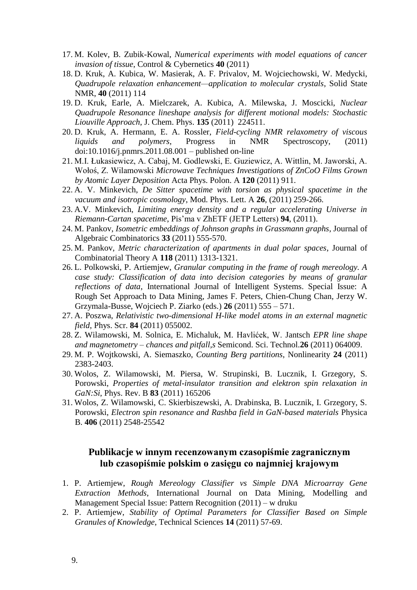- 17. M. Kolev, B. Zubik-Kowal, *Numerical experiments with model equations of cancer invasion of tissue*, Control & Cybernetics **40** (2011)
- 18. D. Kruk, A. Kubica, W. Masierak, A. F. Privalov, M. Wojciechowski, W. Medycki, *Quadrupole relaxation enhancement—application to molecular crystals*, Solid State NMR, **40** (2011) 114
- 19. D. Kruk, Earle, A. Mielczarek, A. Kubica, A. Milewska, J. Moscicki, *Nuclear Quadrupole Resonance lineshape analysis for different motional models: Stochastic Liouville Approach*, J. Chem. Phys. **135** (2011) 224511.
- 20. D. Kruk, A. Hermann, E. A. Rossler, *Field-cycling NMR relaxometry of viscous liquids and polymers*, Progress in NMR Spectroscopy, (2011) doi:10.1016/j.pnmrs.2011.08.001 – published on-line
- 21. M.I. Łukasiewicz, A. Cabaj, M. Godlewski, E. Guziewicz, A. Wittlin, M. Jaworski, A. Wołoś, Z. Wilamowski *Microwave Techniques Investigations of ZnCoO Films Grown by Atomic Layer Deposition* Acta Phys. Polon. A **120** (2011) 911.
- 22. A. V. Minkevich, *De Sitter spacetime with torsion as physical spacetime in the vacuum and isotropic cosmology*, Mod. Phys. Lett. A **26**, (2011) 259-266.
- 23. A.V. Minkevich, *Limiting energy density and a regular accelerating Universe in Riemann-Cartan spacetime*, Pis'ma v ZhETF (JETP Letters) **94**, (2011).
- 24. M. Pankov, *Isometric embeddings of Johnson graphs in Grassmann graphs*, [Journal of](http://www.scopus.com/source/sourceInfo.url?sourceId=23816&origin=recordpage)  [Algebraic Combinatorics](http://www.scopus.com/source/sourceInfo.url?sourceId=23816&origin=recordpage) **33** (2011) 555-570.
- 25. M. Pankov, *Metric characterization of apartments in dual polar spaces*, [Journal of](http://www.scopus.com/source/sourceInfo.url?sourceId=40107&origin=recordpage)  [Combinatorial Theory A](http://www.scopus.com/source/sourceInfo.url?sourceId=40107&origin=recordpage) **118** (2011) 1313-1321.
- 26. L. Polkowski, P. Artiemjew, *Granular computing in the frame of rough mereology. A case study: Classification of data into decision categories by means of granular reflections of data*, International Journal of Intelligent Systems. Special Issue: A Rough Set Approach to Data Mining, James F. Peters, Chien-Chung Chan, Jerzy W. Grzymala-Busse, Wojciech P. Ziarko (eds.) **26** (2011) 555 – 571.
- 27. A. Poszwa, *Relativistic two-dimensional H-like model atoms in an external magnetic field*, Phys. Scr. **84** (2011) 055002.
- 28. Z. Wilamowski, M. Solnica, E. Michaluk, M. Havlićek, W. Jantsch *EPR line shape and magnetometry – chances and pitfall,s* Semicond. Sci. Technol.**26** (2011) 064009.
- 29. M. P. Wojtkowski, A. Siemaszko, *Counting Berg partitions*, Nonlinearity **24** (2011) 2383-2403.
- 30. Wolos, Z. Wilamowski, M. Piersa, W. Strupinski, B. Lucznik, I. Grzegory, S. Porowski, *Properties of metal-insulator transition and elektron spin relaxation in GaN:Si*, Phys. Rev. B **83** (2011) 165206
- 31. Wolos, Z. Wilamowski, C. Skierbiszewski, A. Drabinska, B. Lucznik, I. Grzegory, S. Porowski, *Electron spin resonance and Rashba field in GaN-based materials* Physica B. **406** (2011) 2548-25542

#### **Publikacje w innym recenzowanym czasopiśmie zagranicznym lub czasopiśmie polskim o zasięgu co najmniej krajowym**

- 1. P. Artiemjew, *Rough Mereology Classifier vs Simple DNA Microarray Gene Extraction Methods*, International Journal on Data Mining, Modelling and Management Special Issue: Pattern Recognition (2011) – w druku
- 2. P. Artiemjew, *Stability of Optimal Parameters for Classifier Based on Simple Granules of Knowledge*, Technical Sciences **14** (2011) 57-69.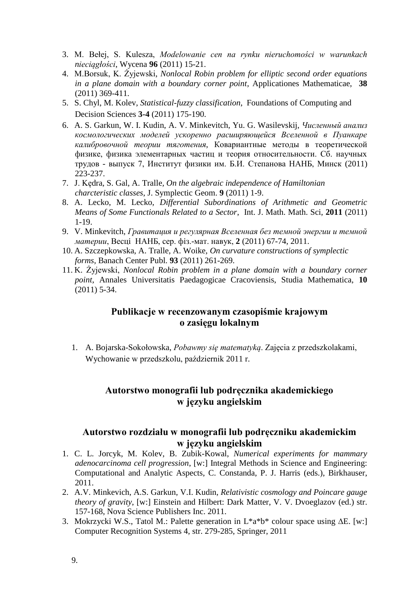- 3. M. Bełej, S. Kulesza, *Modelowanie cen na rynku nieruchomości w warunkach nieciągłości*, Wycena **96** (2011) 15-21.
- 4. M.Borsuk, K. Żyjewski, *Nonlocal Robin problem for elliptic second order equations in a plane domain with a boundary corner point,* Applicationes Mathematicae, **38**  (2011) 369-411.
- 5. S. Chyl, M. Kolev, *Statistical-fuzzy classification*, Foundations of Computing and Decision Sciences **3-4** (2011) 175-190.
- 6. A. S. Garkun, W. I. Kudin, A. V. Minkevitch, Yu. G. Wasilevskij, *Численный анализ космологических моделей ускоренно расширяющейся Вселенной в Пуанкаре калибровочной теории тяготения*, Ковариантные методы в теоретической физике, физика элементарных частиц и теория относительности. Сб. научных трудов - выпуск 7, Институт физики им. Б.И. Степанова НАНБ, Минск (2011) 223-237.
- 7. J. Kędra, S. Gal, A. Tralle*, On the algebraic independence of Hamiltonian charcteristic classes*, J. Symplectic Geom. **9** (2011) 1-9.
- 8. A. Lecko, M. Lecko, *Differential Subordinations of Arithmetic and Geometric Means of Some Functionals Related to a Sector*, Int. J. Math. Math. Sci, **2011** (2011) 1-19.
- 9. V. Minkevitch, *Гравитация и регулярная Вселенная без темной энергии и темной материи*, Весцi НАНБ, сер. фiз.-мат. навук, **2** (2011) 67-74, 2011.
- 10. A. Szczepkowska, A. Tralle, A. Woike, *On curvature constructions of symplectic forms*, Banach Center Publ. **93** (2011) 261-269.
- 11. K. Żyjewski, *Nonlocal Robin problem in a plane domain with a boundary corner point*, Annales Universitatis Paedagogicae Cracoviensis, Studia Mathematica, **10**  (2011) 5-34.

# **Publikacje w recenzowanym czasopiśmie krajowym o zasięgu lokalnym**

1. A. Bojarska-Sokołowska, *Pobawmy się matematyką*. Zajęcia z przedszkolakami, Wychowanie w przedszkolu, październik 2011 r.

### **Autorstwo monografii lub podręcznika akademickiego w języku angielskim**

### **Autorstwo rozdziału w monografii lub podręczniku akademickim w języku angielskim**

- 1. C. L. Jorcyk, M. Kolev, B. Zubik-Kowal, *Numerical experiments for mammary adenocarcinoma cell progression*, [w:] Integral Methods in Science and Engineering: Computational and Analytic Aspects, C. Constanda, P. J. Harris (eds.), Birkhauser, 2011.
- 2. A.V. Minkevich, A.S. Garkun, V.I. Kudin, *Relativistic cosmology and Poincare gauge theory of gravity*, [w:] Einstein and Hilbert: Dark Matter, V. V. Dvoeglazov (ed.) str. 157-168, Nova Science Publishers Inc. 2011.
- 3. Mokrzycki W.S., Tatol M.: Palette generation in L\*a\*b\* colour space using ∆E. [w:] Computer Recognition Systems 4, str. 279-285, Springer, 2011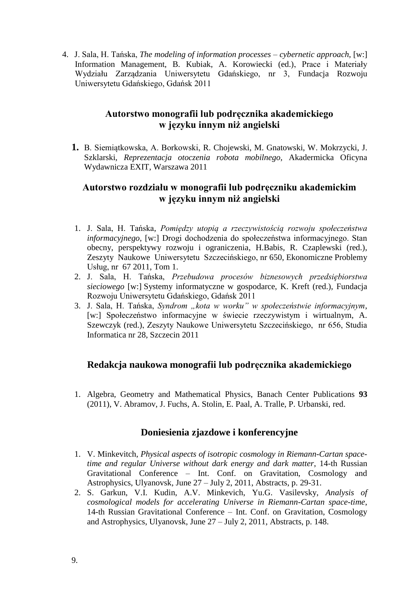4. J. Sala, H. Tańska, *The modeling of information processes – cybernetic approach*, [w:] Information Management, B. Kubiak, A. Korowiecki (ed.), Prace i Materiały Wydziału Zarządzania Uniwersytetu Gdańskiego, nr 3, Fundacja Rozwoju Uniwersytetu Gdańskiego, Gdańsk 2011

### **Autorstwo monografii lub podręcznika akademickiego w języku innym niż angielski**

**1.** B. Siemiątkowska, A. Borkowski, R. Chojewski, M. Gnatowski, W. Mokrzycki, J. Szklarski, *Reprezentacja otoczenia robota mobilnego*, Akadermicka Oficyna Wydawnicza EXIT, Warszawa 2011

### **Autorstwo rozdziału w monografii lub podręczniku akademickim w języku innym niż angielski**

- 1. J. Sala, H. Tańska, *Pomiędzy utopią a rzeczywistością rozwoju społeczeństwa informacyjnego*, [w:] Drogi dochodzenia do społeczeństwa informacyjnego. Stan obecny, perspektywy rozwoju i ograniczenia, H.Babis, R. Czaplewski (red.), Zeszyty Naukowe Uniwersytetu Szczecińskiego, nr 650, Ekonomiczne Problemy Usług, nr 67 2011, Tom 1.
- 2. J. Sala, H. Tańska, *Przebudowa procesów biznesowych przedsiębiorstwa sieciowego* [w:] Systemy informatyczne w gospodarce, K. Kreft (red.), Fundacja Rozwoju Uniwersytetu Gdańskiego, Gdańsk 2011
- 3. J. Sala, H. Tańska, *Syndrom "kota w worku" w społeczeństwie informacyjnym*, [w:] Społeczeństwo informacyjne w świecie rzeczywistym i wirtualnym, A. Szewczyk (red.), Zeszyty Naukowe Uniwersytetu Szczecińskiego, nr 656, Studia Informatica nr 28, Szczecin 2011

### **Redakcja naukowa monografii lub podręcznika akademickiego**

1. Algebra, Geometry and Mathematical Physics, Banach Center Publications **93** (2011), V. Abramov, J. Fuchs, A. Stolin, E. Paal, A. Tralle, P. Urbanski, red.

### **Doniesienia zjazdowe i konferencyjne**

- 1. V. Minkevitch, *Physical aspects of isotropic cosmology in Riemann-Cartan spacetime and regular Universe without dark energy and dark matter*, 14-th Russian Gravitational Conference – Int. Conf. on Gravitation, Cosmology and Astrophysics, Ulyanovsk, June 27 – July 2, 2011, Abstracts, p. 29-31.
- 2. S. Garkun, V.I. Kudin, A.V. Minkevich, Yu.G. Vasilevsky, *Analysis of cosmological models for accelerating Universe in Riemann-Cartan space-time*, 14-th Russian Gravitational Conference – Int. Conf. on Gravitation, Cosmology and Astrophysics, Ulyanovsk, June 27 – July 2, 2011, Abstracts, p. 148.